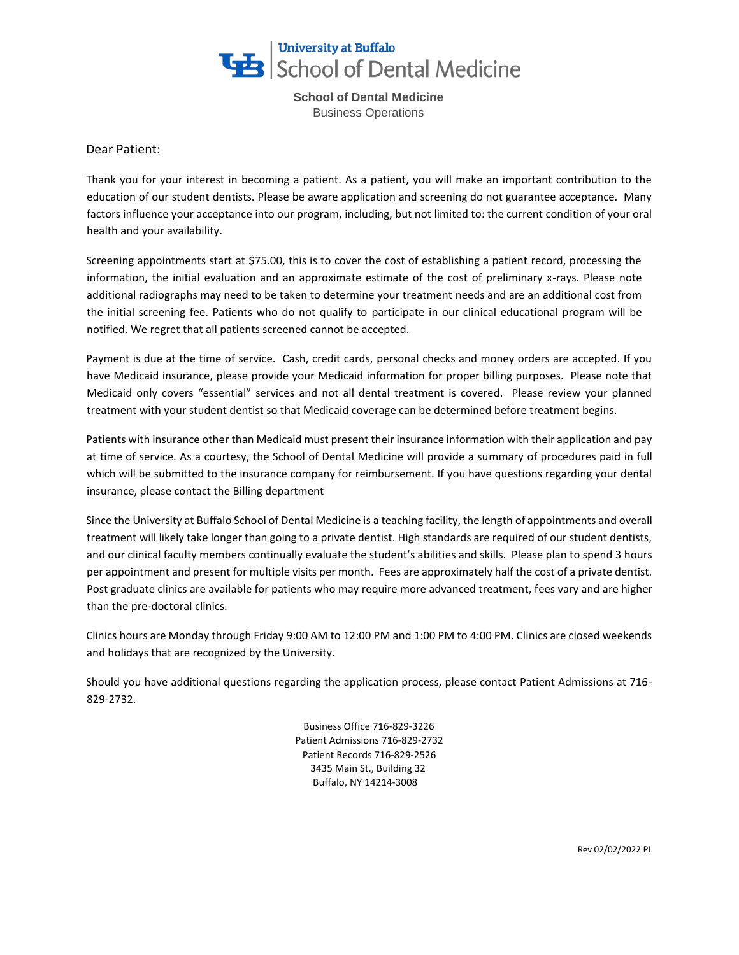

**School of Dental Medicine**  Business Operations

Dear Patient:

Thank you for your interest in becoming a patient. As a patient, you will make an important contribution to the education of our student dentists. Please be aware application and screening do not guarantee acceptance. Many factors influence your acceptance into our program, including, but not limited to: the current condition of your oral health and your availability.

Screening appointments start at \$75.00, this is to cover the cost of establishing a patient record, processing the information, the initial evaluation and an approximate estimate of the cost of preliminary x-rays. Please note additional radiographs may need to be taken to determine your treatment needs and are an additional cost from the initial screening fee. Patients who do not qualify to participate in our clinical educational program will be notified. We regret that all patients screened cannot be accepted.

Payment is due at the time of service. Cash, credit cards, personal checks and money orders are accepted. If you have Medicaid insurance, please provide your Medicaid information for proper billing purposes. Please note that Medicaid only covers "essential" services and not all dental treatment is covered. Please review your planned treatment with your student dentist so that Medicaid coverage can be determined before treatment begins.

Patients with insurance other than Medicaid must present their insurance information with their application and pay at time of service. As a courtesy, the School of Dental Medicine will provide a summary of procedures paid in full which will be submitted to the insurance company for reimbursement. If you have questions regarding your dental insurance, please contact the Billing department

Since the University at Buffalo School of Dental Medicine is a teaching facility, the length of appointments and overall treatment will likely take longer than going to a private dentist. High standards are required of our student dentists, and our clinical faculty members continually evaluate the student's abilities and skills. Please plan to spend 3 hours per appointment and present for multiple visits per month. Fees are approximately half the cost of a private dentist. Post graduate clinics are available for patients who may require more advanced treatment, fees vary and are higher than the pre-doctoral clinics.

Clinics hours are Monday through Friday 9:00 AM to 12:00 PM and 1:00 PM to 4:00 PM. Clinics are closed weekends and holidays that are recognized by the University.

Should you have additional questions regarding the application process, please contact Patient Admissions at 716- 829-2732.

> Business Office 716-829-3226 Patient Admissions 716-829-2732 Patient Records 716-829-2526 3435 Main St., Building 32 Buffalo, NY 14214-3008

> > Rev 02/02/2022 PL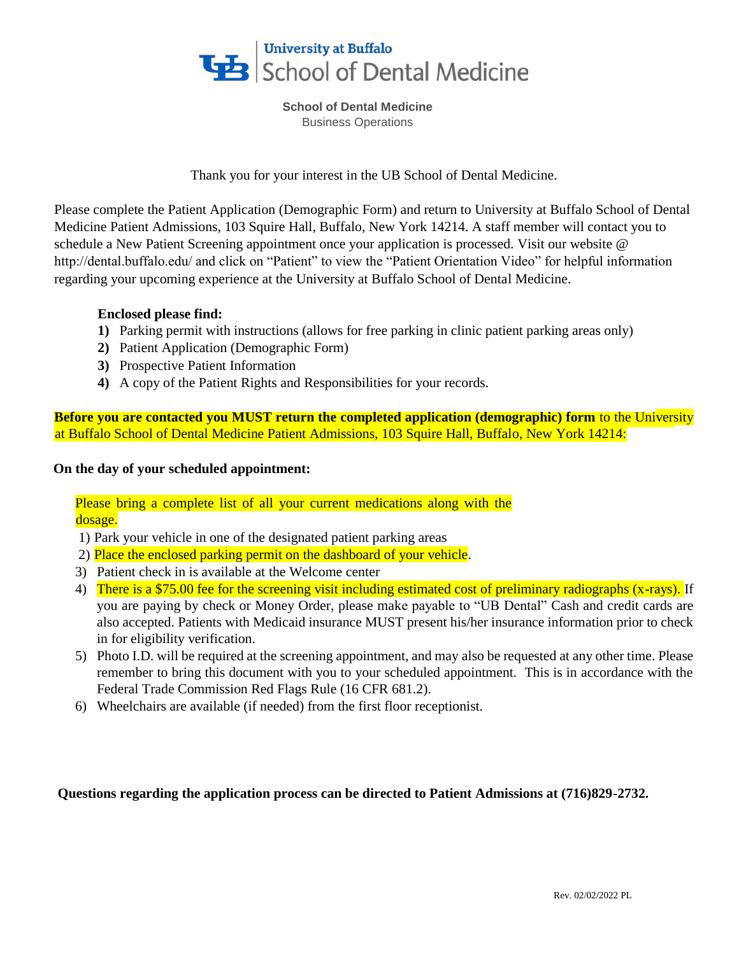

**School of Dental Medicine**  Business Operations

Thank you for your interest in the UB School of Dental Medicine.

Please complete the Patient Application (Demographic Form) and return to University at Buffalo School of Dental Medicine Patient Admissions, 103 Squire Hall, Buffalo, New York 14214. A staff member will contact you to schedule a New Patient Screening appointment once your application is processed. Visit our website @ http://dental.buffalo.edu/ and click on "Patient" to view the "Patient Orientation Video" for helpful information regarding your upcoming experience at the University at Buffalo School of Dental Medicine.

## **Enclosed please find:**

- **1)** Parking permit with instructions (allows for free parking in clinic patient parking areas only)
- **2)** Patient Application (Demographic Form)
- **3)** Prospective Patient Information
- **4)** A copy of the Patient Rights and Responsibilities for your records.

**Before you are contacted you MUST return the completed application (demographic) form** to the University at Buffalo School of Dental Medicine Patient Admissions, 103 Squire Hall, Buffalo, New York 14214:

## **On the day of your scheduled appointment:**

Please bring a complete list of all your current medications along with the dosage.

- 1) Park your vehicle in one of the designated patient parking areas
- 2) Place the enclosed parking permit on the dashboard of your vehicle.
- 3) Patient check in is available at the Welcome center
- 4) There is a \$75.00 fee for the screening visit including estimated cost of preliminary radiographs (x-rays). If you are paying by check or Money Order, please make payable to "UB Dental" Cash and credit cards are also accepted. Patients with Medicaid insurance MUST present his/her insurance information prior to check in for eligibility verification.
- 5) Photo I.D. will be required at the screening appointment, and may also be requested at any other time. Please remember to bring this document with you to your scheduled appointment. This is in accordance with the Federal Trade Commission Red Flags Rule (16 CFR 681.2).
- 6) Wheelchairs are available (if needed) from the first floor receptionist.

## **Questions regarding the application process can be directed to Patient Admissions at (716)829-2732.**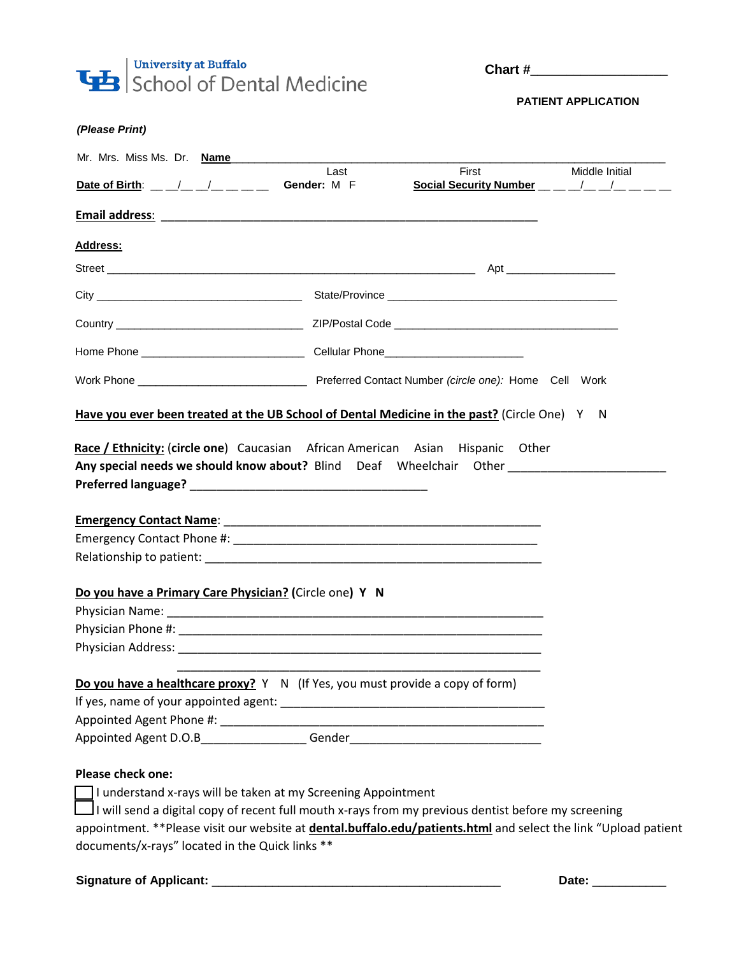

**Chart #**\_\_\_\_\_\_\_\_\_\_\_\_\_\_\_\_\_\_\_

 **PATIENT APPLICATION** 

| Mr. Mrs. Miss Ms. Dr. Name                                                                                                              | Last | First                                                                                                                                                                                                                                                                                                          | Middle Initial |
|-----------------------------------------------------------------------------------------------------------------------------------------|------|----------------------------------------------------------------------------------------------------------------------------------------------------------------------------------------------------------------------------------------------------------------------------------------------------------------|----------------|
| Date of Birth: $\frac{1}{2}$ $\frac{1}{2}$ $\frac{1}{2}$ $\frac{1}{2}$ $\frac{1}{2}$ Gender: M F                                        |      | Social Security Number $\frac{1}{2}$ $\frac{1}{2}$ $\frac{1}{2}$ $\frac{1}{2}$ $\frac{1}{2}$ $\frac{1}{2}$ $\frac{1}{2}$ $\frac{1}{2}$ $\frac{1}{2}$ $\frac{1}{2}$ $\frac{1}{2}$ $\frac{1}{2}$ $\frac{1}{2}$ $\frac{1}{2}$ $\frac{1}{2}$ $\frac{1}{2}$ $\frac{1}{2}$ $\frac{1}{2}$ $\frac{1}{2}$ $\frac{1}{2}$ |                |
|                                                                                                                                         |      |                                                                                                                                                                                                                                                                                                                |                |
|                                                                                                                                         |      |                                                                                                                                                                                                                                                                                                                |                |
| Address:                                                                                                                                |      |                                                                                                                                                                                                                                                                                                                |                |
|                                                                                                                                         |      |                                                                                                                                                                                                                                                                                                                |                |
|                                                                                                                                         |      |                                                                                                                                                                                                                                                                                                                |                |
|                                                                                                                                         |      |                                                                                                                                                                                                                                                                                                                |                |
|                                                                                                                                         |      |                                                                                                                                                                                                                                                                                                                |                |
|                                                                                                                                         |      |                                                                                                                                                                                                                                                                                                                |                |
| Have you ever been treated at the UB School of Dental Medicine in the past? (Circle One) Y N                                            |      |                                                                                                                                                                                                                                                                                                                |                |
|                                                                                                                                         |      |                                                                                                                                                                                                                                                                                                                |                |
|                                                                                                                                         |      |                                                                                                                                                                                                                                                                                                                |                |
|                                                                                                                                         |      |                                                                                                                                                                                                                                                                                                                |                |
|                                                                                                                                         |      | Race / Ethnicity: (circle one) Caucasian African American Asian Hispanic Other                                                                                                                                                                                                                                 |                |
| Any special needs we should know about? Blind Deaf Wheelchair Other ________________________________                                    |      |                                                                                                                                                                                                                                                                                                                |                |
|                                                                                                                                         |      |                                                                                                                                                                                                                                                                                                                |                |
|                                                                                                                                         |      |                                                                                                                                                                                                                                                                                                                |                |
|                                                                                                                                         |      |                                                                                                                                                                                                                                                                                                                |                |
|                                                                                                                                         |      |                                                                                                                                                                                                                                                                                                                |                |
|                                                                                                                                         |      |                                                                                                                                                                                                                                                                                                                |                |
|                                                                                                                                         |      |                                                                                                                                                                                                                                                                                                                |                |
|                                                                                                                                         |      |                                                                                                                                                                                                                                                                                                                |                |
|                                                                                                                                         |      |                                                                                                                                                                                                                                                                                                                |                |
|                                                                                                                                         |      |                                                                                                                                                                                                                                                                                                                |                |
|                                                                                                                                         |      |                                                                                                                                                                                                                                                                                                                |                |
|                                                                                                                                         |      |                                                                                                                                                                                                                                                                                                                |                |
|                                                                                                                                         |      |                                                                                                                                                                                                                                                                                                                |                |
|                                                                                                                                         |      |                                                                                                                                                                                                                                                                                                                |                |
| Do you have a Primary Care Physician? (Circle one) Y N<br>Do you have a healthcare proxy? Y N (If Yes, you must provide a copy of form) |      |                                                                                                                                                                                                                                                                                                                |                |
|                                                                                                                                         |      |                                                                                                                                                                                                                                                                                                                |                |
| <b>Please check one:</b>                                                                                                                |      |                                                                                                                                                                                                                                                                                                                |                |
| I understand x-rays will be taken at my Screening Appointment                                                                           |      |                                                                                                                                                                                                                                                                                                                |                |
|                                                                                                                                         |      | I will send a digital copy of recent full mouth x-rays from my previous dentist before my screening                                                                                                                                                                                                            |                |

## **Signature of Applicant:** \_\_\_\_\_\_\_\_\_\_\_\_\_\_\_\_\_\_\_\_\_\_\_\_\_\_\_\_\_\_\_\_\_\_\_\_\_\_\_\_\_\_\_ **Date:** \_\_\_\_\_\_\_\_\_\_\_